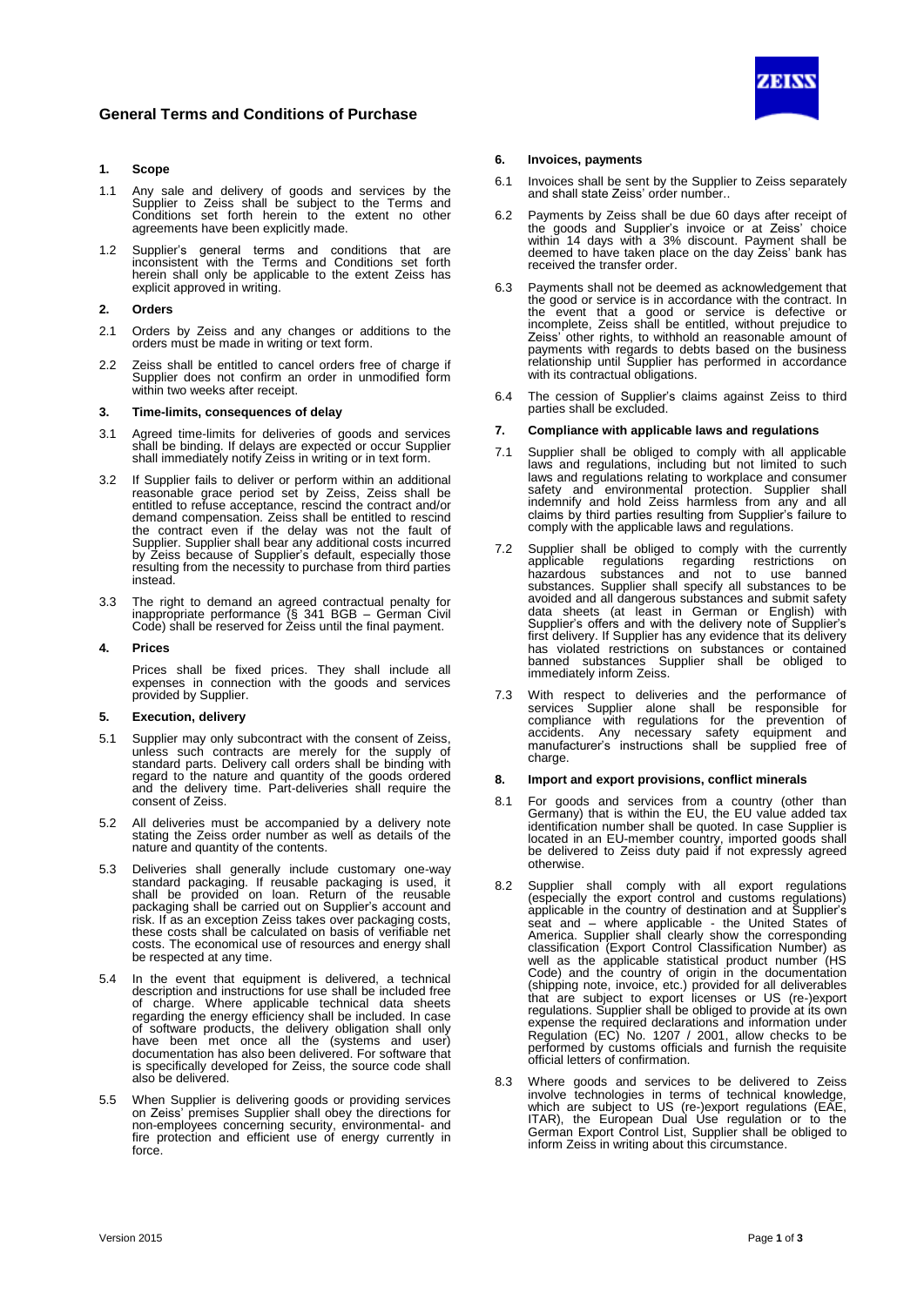

## **1. Scope**

- 1.1 Any sale and delivery of goods and services by the Supplier to Zeiss shall be subject to the Terms and Conditions set forth herein to the extent no other agreements have been explicitly made.
- 1.2 Supplier's general terms and conditions that are inconsistent with the Terms and Conditions set forth herein shall only be applicable to the extent Zeiss has explicit approved in writing.

### **2. Orders**

- 2.1 Orders by Zeiss and any changes or additions to the orders must be made in writing or text form.
- 2.2 Zeiss shall be entitled to cancel orders free of charge if Supplier does not confirm an order in unmodified form within two weeks after receipt.

### **3. Time-limits, consequences of delay**

- 3.1 Agreed time-limits for deliveries of goods and services shall be binding. If delays are expected or occur Supplier shall immediately notify Zeiss in writing or in text form.
- 3.2 If Supplier fails to deliver or perform within an additional reasonable grace period set by Zeiss, Zeiss shall be entitled to refuse acceptance, rescind the contract and/or demand compensation. Zeiss shall be entitled to rescind the contract even if the delay was not the fault of Supplier. Supplier shall bear any additional costs incurred by Zeiss because of Supplier's default, especially those resulting from the necessity to purchase from third parties instead.
- 3.3 The right to demand an agreed contractual penalty for inappropriate performance (§ 341 BGB – German Civil Code) shall be reserved for Zeiss until the final payment.

### **4. Prices**

Prices shall be fixed prices. They shall include all expenses in connection with the goods and services provided by Supplier.

#### **5. Execution, delivery**

- 5.1 Supplier may only subcontract with the consent of Zeiss, unless such contracts are merely for the supply of standard parts. Delivery call orders shall be binding with regard to the nature and quantity of the goods ordered and the delivery time. Part-deliveries shall require the consent of Zeiss.
- 5.2 All deliveries must be accompanied by a delivery note stating the Zeiss order number as well as details of the nature and quantity of the contents.
- 5.3 Deliveries shall generally include customary one-way standard packaging. If reusable packaging is used, it shall be provided on loan. Return of the reusable packaging shall be carried out on Supplier's account and risk. If as an exception Zeiss takes over packaging costs, these costs shall be calculated on basis of verifiable net costs. The economical use of resources and energy shall be respected at any time.
- 5.4 In the event that equipment is delivered, a technical description and instructions for use shall be included free of charge. Where applicable technical data sheets regarding the energy efficiency shall be included. In case of software products, the delivery obligation shall only have been met once all the (systems and user) documentation has also been delivered. For software that is specifically developed for Zeiss, the source code shall also be delivered.
- 5.5 When Supplier is delivering goods or providing services on Zeiss' premises Supplier shall obey the directions for non-employees concerning security, environmental- and fire protection and efficient use of energy currently in force.

### **6. Invoices, payments**

- 6.1 Invoices shall be sent by the Supplier to Zeiss separately and shall state Zeiss' order number..
- 6.2 Payments by Zeiss shall be due 60 days after receipt of the goods and Supplier's invoice or at Zeiss' choice within 14 days with a 3% discount. Payment shall be deemed to have taken place on the day Zeiss' bank has received the transfer order.
- 6.3 Payments shall not be deemed as acknowledgement that the good or service is in accordance with the contract. In the event that a good or service is defective or incomplete, Zeiss shall be entitled, without prejudice to Zeiss' other rights, to withhold an reasonable amount of payments with regards to debts based on the business relationship until Supplier has performed in accordance with its contractual obligations.
- 6.4 The cession of Supplier's claims against Zeiss to third parties shall be excluded.

## **7. Compliance with applicable laws and regulations**

- 7.1 Supplier shall be obliged to comply with all applicable laws and regulations, including but not limited to such laws and regulations relating to workplace and consumer safety and environmental protection. Supplier shall indemnify and hold Zeiss harmless from any and all claims by third parties resulting from Supplier's failure to comply with the applicable laws and regulations.
- 7.2 Supplier shall be obliged to comply with the currently applicable regulations regarding restrictions on hazardous substances and not to use banned substances. Supplier shall specify all substances to be avoided and all dangerous substances and submit safety data sheets (at least in German or English) with Supplier's offers and with the delivery note of Supplier's first delivery. If Supplier has any evidence that its delivery has violated restrictions on substances or contained banned substances Supplier shall be obliged to immediately inform Zeiss.
- 7.3 With respect to deliveries and the performance of services Supplier alone shall be responsible for compliance with regulations for the prevention of accidents. Any necessary safety equipment and manufacturer's instructions shall be supplied free of charge.

### **8. Import and export provisions, conflict minerals**

- 8.1 For goods and services from a country (other than Germany) that is within the EU, the EU value added tax identification number shall be quoted. In case Supplier is located in an EU-member country, imported goods shall be delivered to Zeiss duty paid if not expressly agreed otherwise.
- 8.2 Supplier shall comply with all export regulations (especially the export control and customs regulations) applicable in the country of destination and at Supplier's seat and – where applicable - the United States of America. Supplier shall clearly show the corresponding classification (Export Control Classification Number) as well as the applicable statistical product number (HS Code) and the country of origin in the documentation (shipping note, invoice, etc.) provided for all deliverables that are subject to export licenses or US (re-)export regulations. Supplier shall be obliged to provide at its own expense the required declarations and information under Regulation (EC) No. 1207 / 2001, allow checks to be performed by customs officials and furnish the requisite official letters of confirmation.
- 8.3 Where goods and services to be delivered to Zeiss involve technologies in terms of technical knowledge, which are subject to US (re-)export regulations (EAE, ITAR), the European Dual Use regulation or to the German Export Control List, Supplier shall be obliged to inform Zeiss in writing about this circumstance.

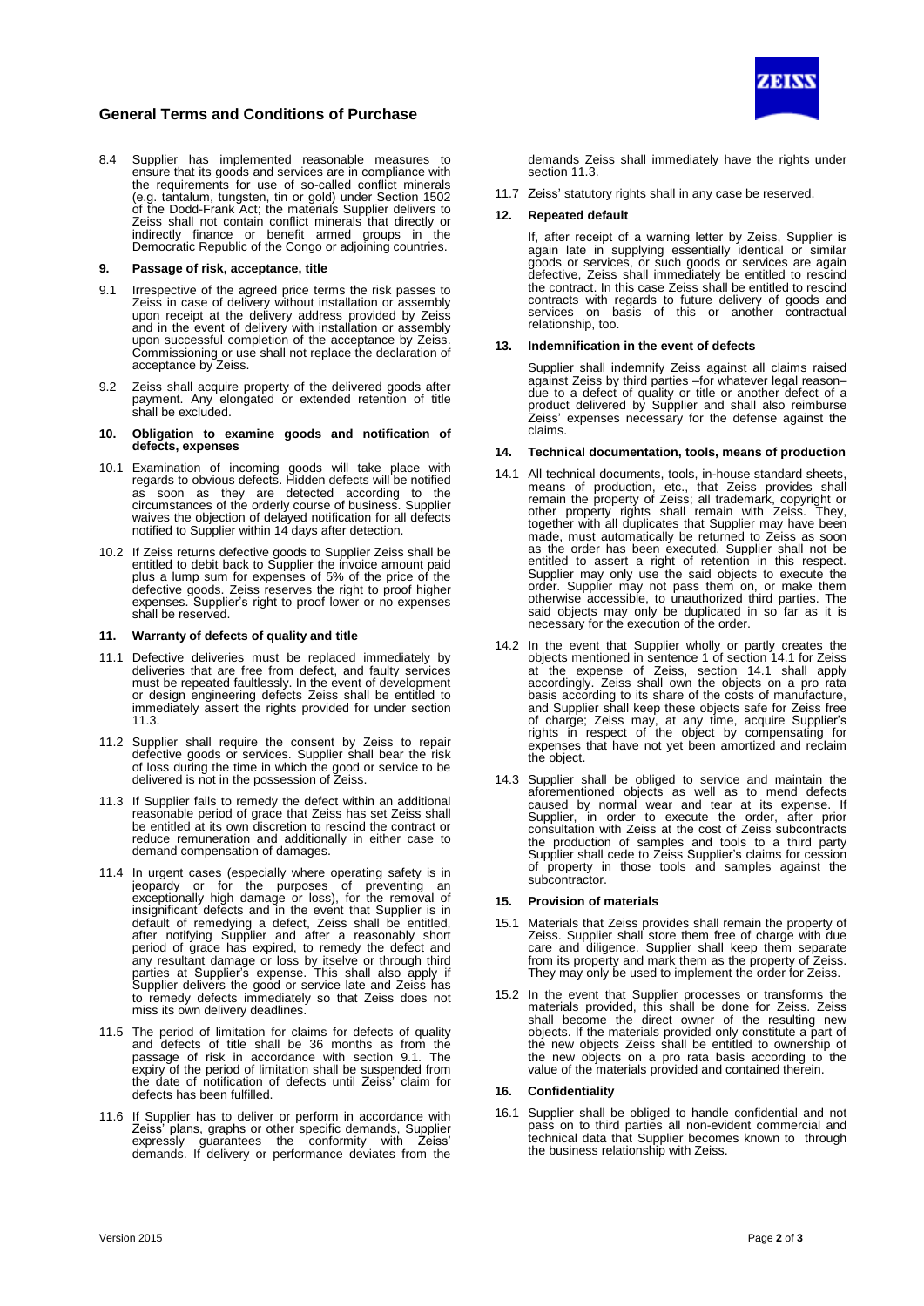

# **General Terms and Conditions of Purchase**

8.4 Supplier has implemented reasonable measures to ensure that its goods and services are in compliance with the requirements for use of so-called conflict minerals (e.g. tantalum, tungsten, tin or gold) under Section 1502 of the Dodd-Frank Act; the materials Supplier delivers to Zeiss shall not contain conflict minerals that directly or indirectly finance or benefit armed groups in the Democratic Republic of the Congo or adjoining countries.

### **9. Passage of risk, acceptance, title**

- 9.1 Irrespective of the agreed price terms the risk passes to Zeiss in case of delivery without installation or assembly upon receipt at the delivery address provided by Zeiss and in the event of delivery with installation or assembly upon successful completion of the acceptance by Zeiss. Commissioning or use shall not replace the declaration of acceptance by Zeiss.
- 9.2 Zeiss shall acquire property of the delivered goods after payment. Any elongated or extended retention of title shall be excluded.

#### **10. Obligation to examine goods and notification of defects, expenses**

- 10.1 Examination of incoming goods will take place with regards to obvious defects. Hidden defects will be notified as soon as they are detected according to the circumstances of the orderly course of business. Supplier waives the objection of delayed notification for all defects notified to Supplier within 14 days after detection.
- 10.2 If Zeiss returns defective goods to Supplier Zeiss shall be entitled to debit back to Supplier the invoice amount paid plus a lump sum for expenses of 5% of the price of the defective goods. Zeiss reserves the right to proof higher expenses. Supplier's right to proof lower or no expenses shall be reserved.

### **11. Warranty of defects of quality and title**

- 11.1 Defective deliveries must be replaced immediately by deliveries that are free from defect, and faulty services must be repeated faultlessly. In the event of development or design engineering defects Zeiss shall be entitled to immediately assert the rights provided for under section 11.3.
- 11.2 Supplier shall require the consent by Zeiss to repair defective goods or services. Supplier shall bear the risk of loss during the time in which the good or service to be delivered is not in the possession of Zeiss.
- 11.3 If Supplier fails to remedy the defect within an additional reasonable period of grace that Zeiss has set Zeiss shall be entitled at its own discretion to rescind the contract or reduce remuneration and additionally in either case to demand compensation of damages.
- 11.4 In urgent cases (especially where operating safety is in jeopardy or for the purposes of preventing an exceptionally high damage or loss), for the removal of insignificant defects and in the event that Supplier is in default of remedying a defect, Zeiss shall be entitled, after notifying Supplier and after a reasonably short period of grace has expired, to remedy the defect and any resultant damage or loss by itselve or through third parties at Supplier's expense. This shall also apply if Supplier delivers the good or service late and Zeiss has to remedy defects immediately so that Zeiss does not miss its own delivery deadlines.
- 11.5 The period of limitation for claims for defects of quality and defects of title shall be 36 months as from the passage of risk in accordance with section 9.1. The expiry of the period of limitation shall be suspended from the date of notification of defects until Zeiss' claim for defects has been fulfilled.
- 11.6 If Supplier has to deliver or perform in accordance with Zeiss' plans, graphs or other specific demands, Supplier expressly guarantees the conformity with Zeiss' demands. If delivery or performance deviates from the

demands Zeiss shall immediately have the rights under section 11.3.

11.7 Zeiss' statutory rights shall in any case be reserved.

### **12. Repeated default**

If, after receipt of a warning letter by Zeiss, Supplier is again late in supplying essentially identical or similar goods or services, or such goods or services are again defective, Zeiss shall immediately be entitled to rescind the contract. In this case Zeiss shall be entitled to rescind contracts with regards to future delivery of goods and services on basis of this or another contractual relationship, too.

### **13. Indemnification in the event of defects**

Supplier shall indemnify Zeiss against all claims raised against Zeiss by third parties –for whatever legal reason– due to a defect of quality or title or another defect of a product delivered by Supplier and shall also reimburse Zeiss' expenses necessary for the defense against the claims.

### **14. Technical documentation, tools, means of production**

- 14.1 All technical documents, tools, in-house standard sheets, means of production, etc., that Zeiss provides shall remain the property of Zeiss; all trademark, copyright or other property rights shall remain with Zeiss. They, together with all duplicates that Supplier may have been made, must automatically be returned to Zeiss as soon as the order has been executed. Supplier shall not be entitled to assert a right of retention in this respect. Supplier may only use the said objects to execute the order. Supplier may not pass them on, or make them otherwise accessible, to unauthorized third parties. The said objects may only be duplicated in so far as it is necessary for the execution of the order.
- 14.2 In the event that Supplier wholly or partly creates the objects mentioned in sentence 1 of section 14.1 for Zeiss at the expense of Zeiss, section 14.1 shall apply accordingly. Zeiss shall own the objects on a pro rata basis according to its share of the costs of manufacture, and Supplier shall keep these objects safe for Zeiss free of charge; Zeiss may, at any time, acquire Supplier's rights in respect of the object by compensating for expenses that have not yet been amortized and reclaim the object.
- 14.3 Supplier shall be obliged to service and maintain the aforementioned objects as well as to mend defects caused by normal wear and tear at its expense. If Supplier, in order to execute the order, after prior consultation with Zeiss at the cost of Zeiss subcontracts the production of samples and tools to a third party Supplier shall cede to Zeiss Supplier's claims for cession of property in those tools and samples against the subcontractor.

### **15. Provision of materials**

- 15.1 Materials that Zeiss provides shall remain the property of Zeiss. Supplier shall store them free of charge with due care and diligence. Supplier shall keep them separate from its property and mark them as the property of Zeiss. They may only be used to implement the order for Zeiss.
- 15.2 In the event that Supplier processes or transforms the materials provided, this shall be done for Zeiss. Zeiss shall become the direct owner of the resulting new objects. If the materials provided only constitute a part of the new objects Zeiss shall be entitled to ownership of the new objects on a pro rata basis according to the value of the materials provided and contained therein.

### **16. Confidentiality**

16.1 Supplier shall be obliged to handle confidential and not pass on to third parties all non-evident commercial and technical data that Supplier becomes known to through the business relationship with Zeiss.